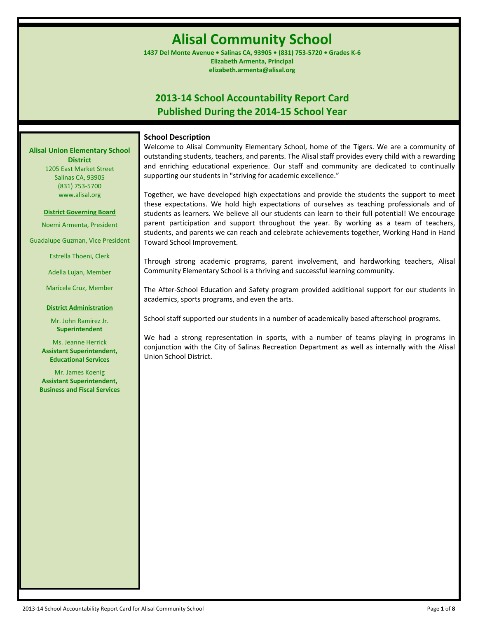# **Alisal Community School**

**1437 Del Monte Avenue • Salinas CA, 93905 • (831) 753-5720 • Grades K-6 Elizabeth Armenta, Principal elizabeth.armenta@alisal.org**

# **2013-14 School Accountability Report Card Published During the 2014-15 School Year**

#### **School Description**

**Alisal Union Elementary School District** 1205 East Market Street

Salinas CA, 93905 (831) 753-5700 www.alisal.org

#### **District Governing Board**

Noemi Armenta, President

Guadalupe Guzman, Vice President

Estrella Thoeni, Clerk

Adella Lujan, Member

Maricela Cruz, Member

#### **District Administration**

Mr. John Ramirez Jr. **Superintendent**

Ms. Jeanne Herrick **Assistant Superintendent, Educational Services**

Mr. James Koenig **Assistant Superintendent, Business and Fiscal Services** Welcome to Alisal Community Elementary School, home of the Tigers. We are a community of outstanding students, teachers, and parents. The Alisal staff provides every child with a rewarding and enriching educational experience. Our staff and community are dedicated to continually supporting our students in "striving for academic excellence."

Together, we have developed high expectations and provide the students the support to meet these expectations. We hold high expectations of ourselves as teaching professionals and of students as learners. We believe all our students can learn to their full potential! We encourage parent participation and support throughout the year. By working as a team of teachers, students, and parents we can reach and celebrate achievements together, Working Hand in Hand Toward School Improvement.

Through strong academic programs, parent involvement, and hardworking teachers, Alisal Community Elementary School is a thriving and successful learning community.

The After-School Education and Safety program provided additional support for our students in academics, sports programs, and even the arts.

School staff supported our students in a number of academically based afterschool programs.

We had a strong representation in sports, with a number of teams playing in programs in conjunction with the City of Salinas Recreation Department as well as internally with the Alisal Union School District.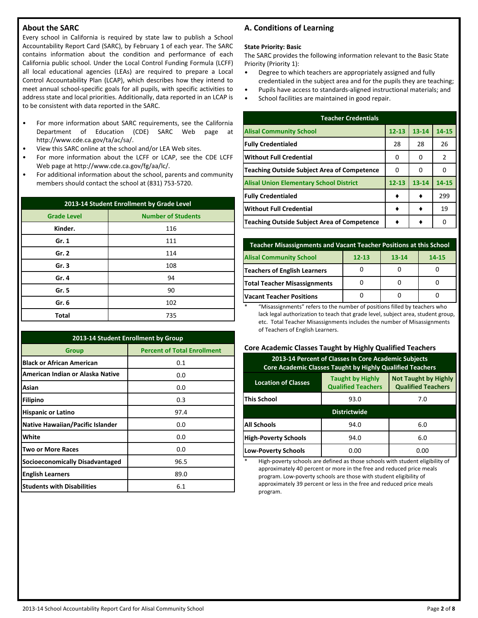# **About the SARC**

Every school in California is required by state law to publish a School Accountability Report Card (SARC), by February 1 of each year. The SARC contains information about the condition and performance of each California public school. Under the Local Control Funding Formula (LCFF) all local educational agencies (LEAs) are required to prepare a Local Control Accountability Plan (LCAP), which describes how they intend to meet annual school-specific goals for all pupils, with specific activities to address state and local priorities. Additionally, data reported in an LCAP is to be consistent with data reported in the SARC.

- For more information about SARC requirements, see the California Department of Education (CDE) SARC Web page at http://www.cde.ca.gov/ta/ac/sa/.
- View this SARC online at the school and/or LEA Web sites.
- For more information about the LCFF or LCAP, see the CDE LCFF Web page at http://www.cde.ca.gov/fg/aa/lc/.
- For additional information about the school, parents and community members should contact the school at (831) 753-5720.

| 2013-14 Student Enrollment by Grade Level |                           |  |  |  |  |
|-------------------------------------------|---------------------------|--|--|--|--|
| <b>Grade Level</b>                        | <b>Number of Students</b> |  |  |  |  |
| Kinder.                                   | 116                       |  |  |  |  |
| Gr. 1                                     | 111                       |  |  |  |  |
| Gr. 2                                     | 114                       |  |  |  |  |
| Gr.3                                      | 108                       |  |  |  |  |
| Gr. 4                                     | 94                        |  |  |  |  |
| Gr. 5                                     | 90                        |  |  |  |  |
| Gr. 6                                     | 102                       |  |  |  |  |
| <b>Total</b>                              | 735                       |  |  |  |  |

| 2013-14 Student Enrollment by Group     |                                    |  |  |  |  |  |
|-----------------------------------------|------------------------------------|--|--|--|--|--|
| <b>Group</b>                            | <b>Percent of Total Enrollment</b> |  |  |  |  |  |
| <b>Black or African American</b>        | 0.1                                |  |  |  |  |  |
| American Indian or Alaska Native        | 0.0                                |  |  |  |  |  |
| Asian                                   | 0.0                                |  |  |  |  |  |
| <b>Filipino</b>                         | 0.3                                |  |  |  |  |  |
| <b>Hispanic or Latino</b>               | 97.4                               |  |  |  |  |  |
| <b>Native Hawaiian/Pacific Islander</b> | 0.0                                |  |  |  |  |  |
| White                                   | 0.0                                |  |  |  |  |  |
| <b>Two or More Races</b>                | 0.0                                |  |  |  |  |  |
| <b>Socioeconomically Disadvantaged</b>  | 96.5                               |  |  |  |  |  |
| <b>English Learners</b>                 | 89.0                               |  |  |  |  |  |
| <b>Students with Disabilities</b>       | 6.1                                |  |  |  |  |  |

# **A. Conditions of Learning**

#### **State Priority: Basic**

The SARC provides the following information relevant to the Basic State Priority (Priority 1):

- Degree to which teachers are appropriately assigned and fully credentialed in the subject area and for the pupils they are teaching;
- Pupils have access to standards-aligned instructional materials; and
- School facilities are maintained in good repair.

| <b>Teacher Credentials</b>                         |           |           |       |  |  |  |  |  |
|----------------------------------------------------|-----------|-----------|-------|--|--|--|--|--|
| <b>Alisal Community School</b>                     | $12 - 13$ | $13 - 14$ | 14-15 |  |  |  |  |  |
| <b>Fully Credentialed</b>                          | 28        | 28        | 26    |  |  |  |  |  |
| Without Full Credential                            | 0         | 0         | 2     |  |  |  |  |  |
| <b>Teaching Outside Subject Area of Competence</b> | 0         | n         | 0     |  |  |  |  |  |
| <b>Alisal Union Elementary School District</b>     | $12 - 13$ | $13 - 14$ | 14-15 |  |  |  |  |  |
| <b>Fully Credentialed</b>                          |           |           | 299   |  |  |  |  |  |
| Without Full Credential                            |           |           | 19    |  |  |  |  |  |
| Teaching Outside Subject Area of Competence        |           |           | O     |  |  |  |  |  |

| <b>Teacher Misassignments and Vacant Teacher Positions at this School</b> |           |       |  |  |  |  |  |  |
|---------------------------------------------------------------------------|-----------|-------|--|--|--|--|--|--|
| <b>Alisal Community School</b>                                            | $13 - 14$ | 14-15 |  |  |  |  |  |  |
| <b>Teachers of English Learners</b>                                       |           |       |  |  |  |  |  |  |
| <b>Total Teacher Misassignments</b>                                       |           |       |  |  |  |  |  |  |
| <b>Vacant Teacher Positions</b>                                           |           |       |  |  |  |  |  |  |

\* "Misassignments" refers to the number of positions filled by teachers who lack legal authorization to teach that grade level, subject area, student group, etc. Total Teacher Misassignments includes the number of Misassignments of Teachers of English Learners.

#### **Core Academic Classes Taught by Highly Qualified Teachers**

| 2013-14 Percent of Classes In Core Academic Subjects<br>Core Academic Classes Taught by Highly Qualified Teachers                              |      |      |  |  |  |  |  |
|------------------------------------------------------------------------------------------------------------------------------------------------|------|------|--|--|--|--|--|
| <b>Not Taught by Highly</b><br><b>Taught by Highly</b><br><b>Location of Classes</b><br><b>Qualified Teachers</b><br><b>Qualified Teachers</b> |      |      |  |  |  |  |  |
| <b>This School</b>                                                                                                                             | 7.0  |      |  |  |  |  |  |
| <b>Districtwide</b>                                                                                                                            |      |      |  |  |  |  |  |
| <b>All Schools</b>                                                                                                                             | 94.0 | 6.0  |  |  |  |  |  |
| <b>High-Poverty Schools</b><br>6.0<br>94.0                                                                                                     |      |      |  |  |  |  |  |
| <b>Low-Poverty Schools</b>                                                                                                                     | 0.00 | 0.00 |  |  |  |  |  |

High-poverty schools are defined as those schools with student eligibility of approximately 40 percent or more in the free and reduced price meals program. Low-poverty schools are those with student eligibility of approximately 39 percent or less in the free and reduced price meals program.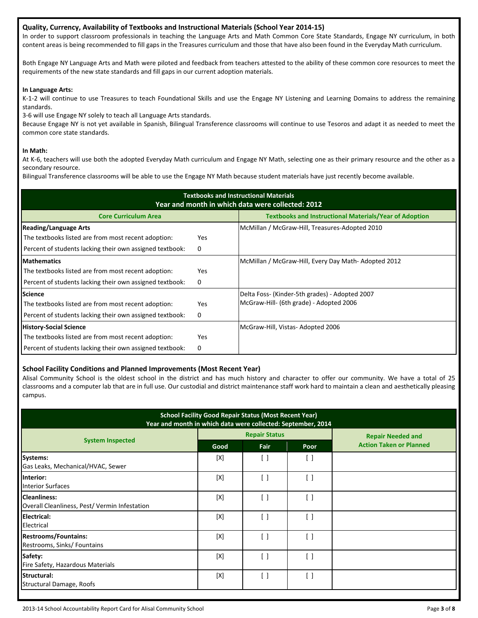### **Quality, Currency, Availability of Textbooks and Instructional Materials (School Year 2014-15)**

In order to support classroom professionals in teaching the Language Arts and Math Common Core State Standards, Engage NY curriculum, in both content areas is being recommended to fill gaps in the Treasures curriculum and those that have also been found in the Everyday Math curriculum.

Both Engage NY Language Arts and Math were piloted and feedback from teachers attested to the ability of these common core resources to meet the requirements of the new state standards and fill gaps in our current adoption materials.

#### **In Language Arts:**

K-1-2 will continue to use Treasures to teach Foundational Skills and use the Engage NY Listening and Learning Domains to address the remaining standards.

3-6 will use Engage NY solely to teach all Language Arts standards.

Because Engage NY is not yet available in Spanish, Bilingual Transference classrooms will continue to use Tesoros and adapt it as needed to meet the common core state standards.

#### **In Math:**

At K-6, teachers will use both the adopted Everyday Math curriculum and Engage NY Math, selecting one as their primary resource and the other as a secondary resource.

Bilingual Transference classrooms will be able to use the Engage NY Math because student materials have just recently become available.

| <b>Textbooks and Instructional Materials</b><br>Year and month in which data were collected: 2012 |            |                                                               |  |  |  |  |  |
|---------------------------------------------------------------------------------------------------|------------|---------------------------------------------------------------|--|--|--|--|--|
| <b>Core Curriculum Area</b>                                                                       |            | <b>Textbooks and Instructional Materials/Year of Adoption</b> |  |  |  |  |  |
| <b>Reading/Language Arts</b>                                                                      |            | McMillan / McGraw-Hill, Treasures-Adopted 2010                |  |  |  |  |  |
| The textbooks listed are from most recent adoption:                                               | <b>Yes</b> |                                                               |  |  |  |  |  |
| Percent of students lacking their own assigned textbook:                                          | 0          |                                                               |  |  |  |  |  |
| <b>Mathematics</b>                                                                                |            | McMillan / McGraw-Hill, Every Day Math-Adopted 2012           |  |  |  |  |  |
| The textbooks listed are from most recent adoption:                                               | <b>Yes</b> |                                                               |  |  |  |  |  |
| Percent of students lacking their own assigned textbook:                                          | 0          |                                                               |  |  |  |  |  |
| <b>Science</b>                                                                                    |            | Delta Foss- (Kinder-5th grades) - Adopted 2007                |  |  |  |  |  |
| The textbooks listed are from most recent adoption:                                               | <b>Yes</b> | McGraw-Hill- (6th grade) - Adopted 2006                       |  |  |  |  |  |
| Percent of students lacking their own assigned textbook:                                          | 0          |                                                               |  |  |  |  |  |
| <b>History-Social Science</b>                                                                     |            | McGraw-Hill, Vistas-Adopted 2006                              |  |  |  |  |  |
| The textbooks listed are from most recent adoption:                                               | <b>Yes</b> |                                                               |  |  |  |  |  |
| Percent of students lacking their own assigned textbook:                                          | 0          |                                                               |  |  |  |  |  |

## **School Facility Conditions and Planned Improvements (Most Recent Year)**

Alisal Community School is the oldest school in the district and has much history and character to offer our community. We have a total of 25 classrooms and a computer lab that are in full use. Our custodial and district maintenance staff work hard to maintain a clean and aesthetically pleasing campus.

| <b>School Facility Good Repair Status (Most Recent Year)</b><br>Year and month in which data were collected: September, 2014 |      |                                 |                    |                                |  |  |  |
|------------------------------------------------------------------------------------------------------------------------------|------|---------------------------------|--------------------|--------------------------------|--|--|--|
|                                                                                                                              |      | <b>Repair Status</b>            |                    | <b>Repair Needed and</b>       |  |  |  |
| <b>System Inspected</b>                                                                                                      | Good | Fair                            | Poor               | <b>Action Taken or Planned</b> |  |  |  |
| Systems:<br>Gas Leaks, Mechanical/HVAC, Sewer                                                                                | [X]  | $\lceil$ $\rceil$               | $\left[ \ \right]$ |                                |  |  |  |
| Interior:<br><b>Interior Surfaces</b>                                                                                        | [X]  | $\lceil$ $\rceil$               | $\lceil$ $\rceil$  |                                |  |  |  |
| <b>Cleanliness:</b><br>Overall Cleanliness, Pest/Vermin Infestation                                                          | [X]  | $\left[ \ \right]$              | $[\ ]$             |                                |  |  |  |
| <b>Electrical:</b><br>Electrical                                                                                             | [X]  | $[\,\,]$                        | [ ]                |                                |  |  |  |
| <b>Restrooms/Fountains:</b><br>Restrooms, Sinks/ Fountains                                                                   | [X]  | $\left[ \ \right]$              | [ ]                |                                |  |  |  |
| Safety:<br>Fire Safety, Hazardous Materials                                                                                  | [X]  | $\left[ \ \right]$              | [ ]                |                                |  |  |  |
| Structural:<br><b>Structural Damage, Roofs</b>                                                                               | [X]  | $\begin{bmatrix} \end{bmatrix}$ | [ ]                |                                |  |  |  |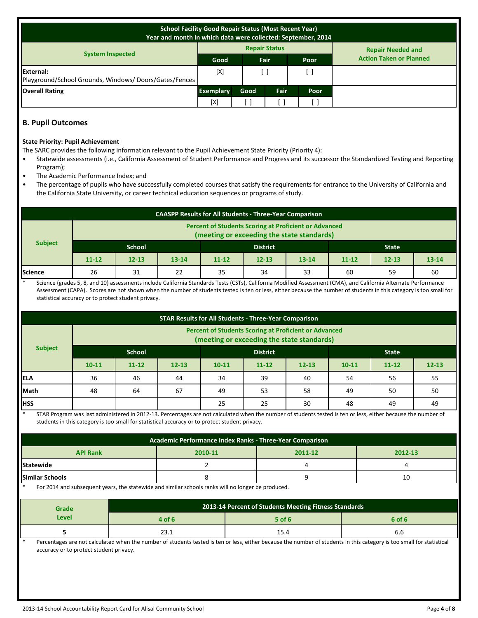| <b>School Facility Good Repair Status (Most Recent Year)</b><br>Year and month in which data were collected: September, 2014 |                     |      |      |                      |             |                                |                          |
|------------------------------------------------------------------------------------------------------------------------------|---------------------|------|------|----------------------|-------------|--------------------------------|--------------------------|
|                                                                                                                              |                     |      |      | <b>Repair Status</b> |             |                                | <b>Repair Needed and</b> |
| <b>System Inspected</b>                                                                                                      | <b>Fair</b><br>Good |      | Poor |                      |             | <b>Action Taken or Planned</b> |                          |
| External:<br>Playground/School Grounds, Windows/Doors/Gates/Fences                                                           | [X]                 |      |      |                      |             |                                |                          |
| <b>Overall Rating</b>                                                                                                        | <b>Exemplary</b>    | Good |      | Fair                 | <b>Poor</b> |                                |                          |
|                                                                                                                              | [X]                 |      |      |                      |             |                                |                          |

# **B. Pupil Outcomes**

#### **State Priority: Pupil Achievement**

- The SARC provides the following information relevant to the Pupil Achievement State Priority (Priority 4):
- Statewide assessments (i.e., California Assessment of Student Performance and Progress and its successor the Standardized Testing and Reporting Program);
- The Academic Performance Index; and
- The percentage of pupils who have successfully completed courses that satisfy the requirements for entrance to the University of California and the California State University, or career technical education sequences or programs of study.

| <b>CAASPP Results for All Students - Three-Year Comparison</b>                                             |           |           |           |           |                 |           |           |              |           |
|------------------------------------------------------------------------------------------------------------|-----------|-----------|-----------|-----------|-----------------|-----------|-----------|--------------|-----------|
| <b>Percent of Students Scoring at Proficient or Advanced</b><br>(meeting or exceeding the state standards) |           |           |           |           |                 |           |           |              |           |
| <b>Subject</b>                                                                                             | School    |           |           |           | <b>District</b> |           |           | <b>State</b> |           |
|                                                                                                            | $11 - 12$ | $12 - 13$ | $13 - 14$ | $11 - 12$ | $12 - 13$       | $13 - 14$ | $11 - 12$ | $12 - 13$    | $13 - 14$ |
| Science                                                                                                    | 26        | 31        | 22        | 35        | 34              | 33        | 60        | 59           | 60        |

Science (grades 5, 8, and 10) assessments include California Standards Tests (CSTs), California Modified Assessment (CMA), and California Alternate Performance Assessment (CAPA). Scores are not shown when the number of students tested is ten or less, either because the number of students in this category is too small for statistical accuracy or to protect student privacy.

| <b>STAR Results for All Students - Three-Year Comparison</b>                                               |           |                                  |           |           |           |           |           |              |           |
|------------------------------------------------------------------------------------------------------------|-----------|----------------------------------|-----------|-----------|-----------|-----------|-----------|--------------|-----------|
| <b>Percent of Students Scoring at Proficient or Advanced</b><br>(meeting or exceeding the state standards) |           |                                  |           |           |           |           |           |              |           |
| <b>Subject</b>                                                                                             |           | <b>School</b><br><b>District</b> |           |           |           |           |           | <b>State</b> |           |
|                                                                                                            | $10 - 11$ | $11 - 12$                        | $12 - 13$ | $10 - 11$ | $11 - 12$ | $12 - 13$ | $10 - 11$ | $11 - 12$    | $12 - 13$ |
| <b>IELA</b>                                                                                                | 36        | 46                               | 44        | 34        | 39        | 40        | 54        | 56           | 55        |
| Math                                                                                                       | 48        | 64                               | 67        | 49        | 53        | 58        | 49        | 50           | 50        |
| <b>IHSS</b>                                                                                                |           |                                  |           | 25        | 25        | 30        | 48        | 49           | 49        |

STAR Program was last administered in 2012-13. Percentages are not calculated when the number of students tested is ten or less, either because the number of students in this category is too small for statistical accuracy or to protect student privacy.

| Academic Performance Index Ranks - Three-Year Comparison |         |  |    |  |  |  |  |
|----------------------------------------------------------|---------|--|----|--|--|--|--|
| <b>API Rank</b>                                          | 2012-13 |  |    |  |  |  |  |
| Statewide                                                |         |  |    |  |  |  |  |
| <b>Similar Schools</b>                                   |         |  | 10 |  |  |  |  |

For 2014 and subsequent years, the statewide and similar schools ranks will no longer be produced.

| Grade        | 2013-14 Percent of Students Meeting Fitness Standards |          |        |  |  |  |
|--------------|-------------------------------------------------------|----------|--------|--|--|--|
| <b>Level</b> | 4 of 6                                                | $5$ of 6 | 6 of 6 |  |  |  |
|              | ⊥…ت                                                   | 15.4     | o.o    |  |  |  |

Percentages are not calculated when the number of students tested is ten or less, either because the number of students in this category is too small for statistical accuracy or to protect student privacy.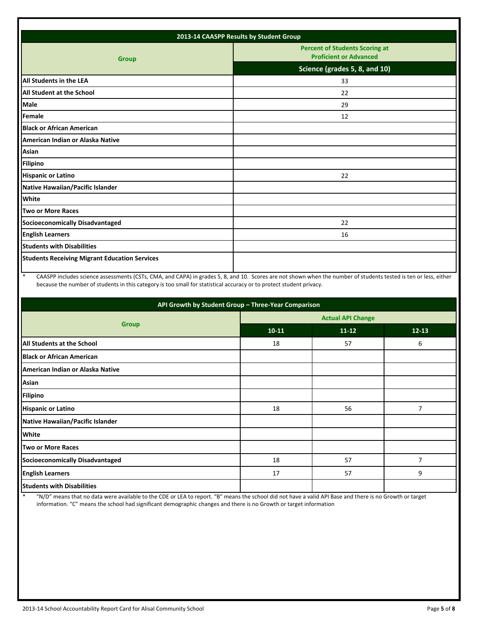| 2013-14 CAASPP Results by Student Group              |                                                                        |  |  |  |
|------------------------------------------------------|------------------------------------------------------------------------|--|--|--|
| <b>Group</b>                                         | <b>Percent of Students Scoring at</b><br><b>Proficient or Advanced</b> |  |  |  |
|                                                      | Science (grades 5, 8, and 10)                                          |  |  |  |
| <b>All Students in the LEA</b>                       | 33                                                                     |  |  |  |
| <b>All Student at the School</b>                     | 22                                                                     |  |  |  |
| Male                                                 | 29                                                                     |  |  |  |
| Female                                               | 12                                                                     |  |  |  |
| <b>Black or African American</b>                     |                                                                        |  |  |  |
| American Indian or Alaska Native                     |                                                                        |  |  |  |
| Asian                                                |                                                                        |  |  |  |
| <b>Filipino</b>                                      |                                                                        |  |  |  |
| <b>Hispanic or Latino</b>                            | 22                                                                     |  |  |  |
| Native Hawaiian/Pacific Islander                     |                                                                        |  |  |  |
| White                                                |                                                                        |  |  |  |
| Two or More Races                                    |                                                                        |  |  |  |
| <b>Socioeconomically Disadvantaged</b>               | 22                                                                     |  |  |  |
| <b>English Learners</b>                              | 16                                                                     |  |  |  |
| <b>Students with Disabilities</b>                    |                                                                        |  |  |  |
| <b>Students Receiving Migrant Education Services</b> |                                                                        |  |  |  |
|                                                      |                                                                        |  |  |  |

\* CAASPP includes science assessments (CSTs, CMA, and CAPA) in grades 5, 8, and 10. Scores are not shown when the number of students tested is ten or less, either because the number of students in this category is too small for statistical accuracy or to protect student privacy.

| API Growth by Student Group - Three-Year Comparison |                          |           |           |  |  |  |
|-----------------------------------------------------|--------------------------|-----------|-----------|--|--|--|
|                                                     | <b>Actual API Change</b> |           |           |  |  |  |
| <b>Group</b>                                        | $10-11$                  | $11 - 12$ | $12 - 13$ |  |  |  |
| All Students at the School                          | 18                       | 57        | 6         |  |  |  |
| <b>Black or African American</b>                    |                          |           |           |  |  |  |
| American Indian or Alaska Native                    |                          |           |           |  |  |  |
| Asian                                               |                          |           |           |  |  |  |
| <b>Filipino</b>                                     |                          |           |           |  |  |  |
| <b>Hispanic or Latino</b>                           | 18                       | 56        | 7         |  |  |  |
| Native Hawaiian/Pacific Islander                    |                          |           |           |  |  |  |
| <b>White</b>                                        |                          |           |           |  |  |  |
| <b>Two or More Races</b>                            |                          |           |           |  |  |  |
| Socioeconomically Disadvantaged                     | 18                       | 57        | 7         |  |  |  |
| <b>English Learners</b>                             | 17                       | 57        | 9         |  |  |  |
| <b>Students with Disabilities</b>                   |                          |           |           |  |  |  |

\* "N/D" means that no data were available to the CDE or LEA to report. "B" means the school did not have a valid API Base and there is no Growth or target information. "C" means the school had significant demographic changes and there is no Growth or target information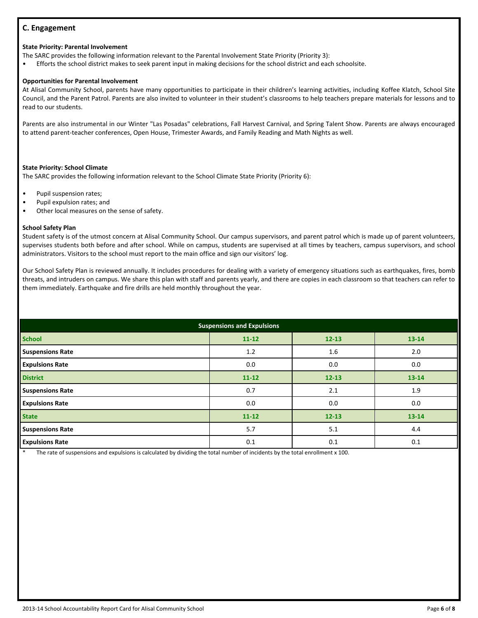# **C. Engagement**

# **State Priority: Parental Involvement**

The SARC provides the following information relevant to the Parental Involvement State Priority (Priority 3):

• Efforts the school district makes to seek parent input in making decisions for the school district and each schoolsite.

# **Opportunities for Parental Involvement**

At Alisal Community School, parents have many opportunities to participate in their children's learning activities, including Koffee Klatch, School Site Council, and the Parent Patrol. Parents are also invited to volunteer in their student's classrooms to help teachers prepare materials for lessons and to read to our students.

Parents are also instrumental in our Winter "Las Posadas" celebrations, Fall Harvest Carnival, and Spring Talent Show. Parents are always encouraged to attend parent-teacher conferences, Open House, Trimester Awards, and Family Reading and Math Nights as well.

#### **State Priority: School Climate**

The SARC provides the following information relevant to the School Climate State Priority (Priority 6):

- Pupil suspension rates;
- Pupil expulsion rates; and
- Other local measures on the sense of safety.

## **School Safety Plan**

Student safety is of the utmost concern at Alisal Community School. Our campus supervisors, and parent patrol which is made up of parent volunteers, supervises students both before and after school. While on campus, students are supervised at all times by teachers, campus supervisors, and school administrators. Visitors to the school must report to the main office and sign our visitors' log.

Our School Safety Plan is reviewed annually. It includes procedures for dealing with a variety of emergency situations such as earthquakes, fires, bomb threats, and intruders on campus. We share this plan with staff and parents yearly, and there are copies in each classroom so that teachers can refer to them immediately. Earthquake and fire drills are held monthly throughout the year.

| <b>Suspensions and Expulsions</b> |           |           |           |  |  |
|-----------------------------------|-----------|-----------|-----------|--|--|
| <b>School</b>                     | $11 - 12$ | $12 - 13$ | $13 - 14$ |  |  |
| <b>Suspensions Rate</b>           | 1.2       | 1.6       | 2.0       |  |  |
| <b>Expulsions Rate</b>            | 0.0       | 0.0       | 0.0       |  |  |
| <b>District</b>                   | $11 - 12$ | $12 - 13$ | $13 - 14$ |  |  |
| <b>Suspensions Rate</b>           | 0.7       | 2.1       | 1.9       |  |  |
| <b>Expulsions Rate</b>            | 0.0       | 0.0       | 0.0       |  |  |
| <b>State</b>                      | $11 - 12$ | $12 - 13$ | $13 - 14$ |  |  |
| <b>Suspensions Rate</b>           | 5.7       | 5.1       | 4.4       |  |  |
| <b>Expulsions Rate</b>            | 0.1       | 0.1       | 0.1       |  |  |

The rate of suspensions and expulsions is calculated by dividing the total number of incidents by the total enrollment x 100.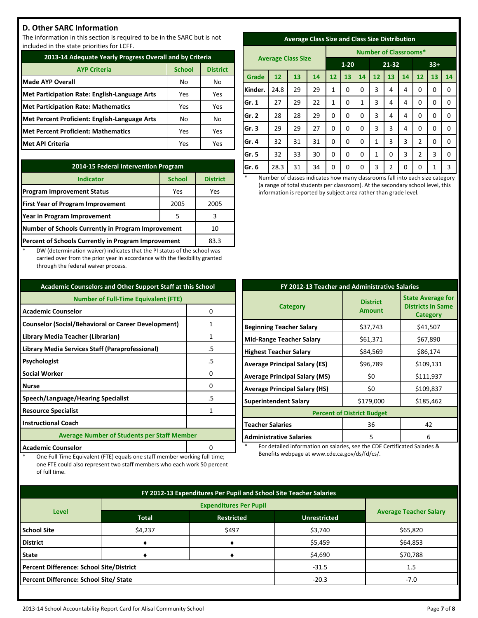# **D. Other SARC Information**

The information in this section is required to be in the SARC but is not included in the state priorities for LCFF.

| 2013-14 Adequate Yearly Progress Overall and by Criteria |               |                 |  |  |
|----------------------------------------------------------|---------------|-----------------|--|--|
| <b>AYP Criteria</b>                                      | <b>School</b> | <b>District</b> |  |  |
| <b>Made AYP Overall</b>                                  | No            | No              |  |  |
| Met Participation Rate: English-Language Arts            | Yes           | Yes             |  |  |
| <b>Met Participation Rate: Mathematics</b>               | Yes           | Yes             |  |  |
| Met Percent Proficient: English-Language Arts            | No            | No              |  |  |
| Met Percent Proficient: Mathematics                      | Yes           | Yes             |  |  |
| <b>Met API Criteria</b>                                  | Yes           | Yes             |  |  |

| 2014-15 Federal Intervention Program                |                 |     |  |  |
|-----------------------------------------------------|-----------------|-----|--|--|
| <b>Indicator</b>                                    | <b>District</b> |     |  |  |
| <b>Program Improvement Status</b>                   | Yes             | Yes |  |  |
| <b>First Year of Program Improvement</b>            | 2005            |     |  |  |
| Year in Program Improvement                         | 3               |     |  |  |
| Number of Schools Currently in Program Improvement  | 10              |     |  |  |
| Percent of Schools Currently in Program Improvement | 83.3            |     |  |  |

DW (determination waiver) indicates that the PI status of the school was carried over from the prior year in accordance with the flexibility granted through the federal waiver process.

| <b>Academic Counselors and Other Support Staff at this School</b> |   |  |  |  |
|-------------------------------------------------------------------|---|--|--|--|
| <b>Number of Full-Time Equivalent (FTE)</b>                       |   |  |  |  |
| <b>Academic Counselor</b>                                         | 0 |  |  |  |
| <b>Counselor (Social/Behavioral or Career Development)</b>        | 1 |  |  |  |
| Library Media Teacher (Librarian)                                 | 1 |  |  |  |
| Library Media Services Staff (Paraprofessional)<br>.5             |   |  |  |  |
| Psychologist<br>.5                                                |   |  |  |  |
| <b>Social Worker</b>                                              | 0 |  |  |  |
| <b>Nurse</b>                                                      | n |  |  |  |
| Speech/Language/Hearing Specialist<br>.5                          |   |  |  |  |
| <b>Resource Specialist</b><br>1                                   |   |  |  |  |
| <b>Instructional Coach</b>                                        |   |  |  |  |
| <b>Average Number of Students per Staff Member</b>                |   |  |  |  |
| <b>Academic Counselor</b>                                         |   |  |  |  |

One Full Time Equivalent (FTE) equals one staff member working full time; one FTE could also represent two staff members who each work 50 percent

of full time.

|  | <b>Average Class Size and Class Size Distribution</b> |
|--|-------------------------------------------------------|
|  |                                                       |

|         | <b>Average Class Size</b> |    |    |          | <b>Number of Classrooms*</b> |       |              |                |       |                |          |             |
|---------|---------------------------|----|----|----------|------------------------------|-------|--------------|----------------|-------|----------------|----------|-------------|
|         |                           |    |    | $1 - 20$ |                              | 21-32 |              |                | $33+$ |                |          |             |
| Grade   | 12                        | 13 | 14 | 12       | 13                           | 14    | 12           | 13             | 14    | 12             | 13       | 14          |
| Kinder. | 24.8                      | 29 | 29 | 1        | 0                            | 0     | 3            | 4              | 4     | 0              | 0        | 0           |
| Gr. 1   | 27                        | 29 | 22 | 1        | 0                            | 1     | 3            | 4              | 4     | 0              | $\Omega$ | $\Omega$    |
| Gr. 2   | 28                        | 28 | 29 | 0        | 0                            | 0     | 3            | 4              | 4     | 0              | 0        | $\mathbf 0$ |
| Gr.3    | 29                        | 29 | 27 | 0        | 0                            | 0     | 3            | 3              | 4     | 0              | $\Omega$ | $\Omega$    |
| Gr. 4   | 32                        | 31 | 31 | 0        | 0                            | 0     | $\mathbf{1}$ | 3              | 3     | $\overline{2}$ | 0        | 0           |
| Gr. 5   | 32                        | 33 | 30 | 0        | 0                            | 0     | 1            | 0              | 3     | 2              | 3        | 0           |
| Gr. 6   | 28.3                      | 31 | 34 | 0        | 0                            | 0     | 3            | $\overline{2}$ | 0     | 0              | 1        | 3           |

Number of classes indicates how many classrooms fall into each size category (a range of total students per classroom). At the secondary school level, this information is reported by subject area rather than grade level.

| FY 2012-13 Teacher and Administrative Salaries |                                  |                                                                  |  |  |  |
|------------------------------------------------|----------------------------------|------------------------------------------------------------------|--|--|--|
| <b>Category</b>                                | <b>District</b><br><b>Amount</b> | <b>State Average for</b><br><b>Districts In Same</b><br>Category |  |  |  |
| <b>Beginning Teacher Salary</b>                | \$37,743                         | \$41,507                                                         |  |  |  |
| <b>Mid-Range Teacher Salary</b>                | \$61,371                         | \$67,890                                                         |  |  |  |
| <b>Highest Teacher Salary</b>                  | \$84,569                         | \$86,174                                                         |  |  |  |
| <b>Average Principal Salary (ES)</b>           | \$96,789                         | \$109,131                                                        |  |  |  |
| <b>Average Principal Salary (MS)</b>           | \$0                              | \$111,937                                                        |  |  |  |
| <b>Average Principal Salary (HS)</b>           | \$0                              | \$109,837                                                        |  |  |  |
| <b>Superintendent Salary</b>                   | \$179,000                        | \$185,462                                                        |  |  |  |
| <b>Percent of District Budget</b>              |                                  |                                                                  |  |  |  |
| <b>Teacher Salaries</b>                        | 36                               | 42                                                               |  |  |  |
| <b>Administrative Salaries</b>                 | 5                                | 6                                                                |  |  |  |

For detailed information on salaries, see the CDE Certificated Salaries & Benefits webpage at www.cde.ca.gov/ds/fd/cs/.

| FY 2012-13 Expenditures Per Pupil and School Site Teacher Salaries |              |                     |                               |          |  |
|--------------------------------------------------------------------|--------------|---------------------|-------------------------------|----------|--|
|                                                                    |              |                     |                               |          |  |
| <b>Level</b>                                                       | <b>Total</b> | <b>Unrestricted</b> | <b>Average Teacher Salary</b> |          |  |
| <b>School Site</b>                                                 | \$4,237      | \$497               | \$3,740                       | \$65,820 |  |
| <b>District</b>                                                    |              |                     | \$5,459                       | \$64,853 |  |
| <b>State</b>                                                       |              |                     | \$4,690                       | \$70,788 |  |
| <b>Percent Difference: School Site/District</b>                    |              |                     | $-31.5$                       | 1.5      |  |
| Percent Difference: School Site/ State                             |              |                     | $-20.3$                       | $-7.0$   |  |